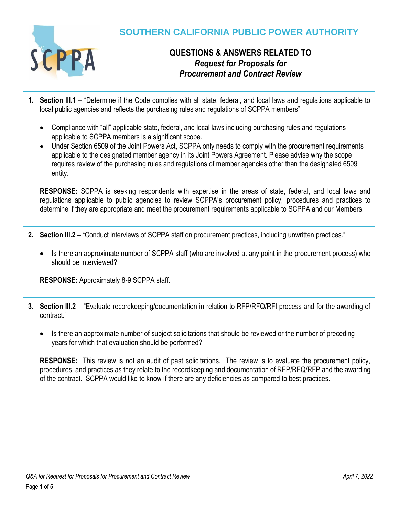

# **QUESTIONS & ANSWERS RELATED TO** *Request for Proposals for Procurement and Contract Review*

- **1. Section III.1**  "Determine if the Code complies with all state, federal, and local laws and regulations applicable to local public agencies and reflects the purchasing rules and regulations of SCPPA members"
	- Compliance with "all" applicable state, federal, and local laws including purchasing rules and regulations applicable to SCPPA members is a significant scope.
	- Under Section 6509 of the Joint Powers Act, SCPPA only needs to comply with the procurement requirements applicable to the designated member agency in its Joint Powers Agreement. Please advise why the scope requires review of the purchasing rules and regulations of member agencies other than the designated 6509 entity.

**RESPONSE:** SCPPA is seeking respondents with expertise in the areas of state, federal, and local laws and regulations applicable to public agencies to review SCPPA's procurement policy, procedures and practices to determine if they are appropriate and meet the procurement requirements applicable to SCPPA and our Members.

- **2. Section III.2**  "Conduct interviews of SCPPA staff on procurement practices, including unwritten practices."
	- Is there an approximate number of SCPPA staff (who are involved at any point in the procurement process) who should be interviewed?

**RESPONSE:** Approximately 8-9 SCPPA staff.

- **3. Section III.2**  "Evaluate recordkeeping/documentation in relation to RFP/RFQ/RFI process and for the awarding of contract."
	- Is there an approximate number of subject solicitations that should be reviewed or the number of preceding years for which that evaluation should be performed?

**RESPONSE:** This review is not an audit of past solicitations. The review is to evaluate the procurement policy, procedures, and practices as they relate to the recordkeeping and documentation of RFP/RFQ/RFP and the awarding of the contract. SCPPA would like to know if there are any deficiencies as compared to best practices.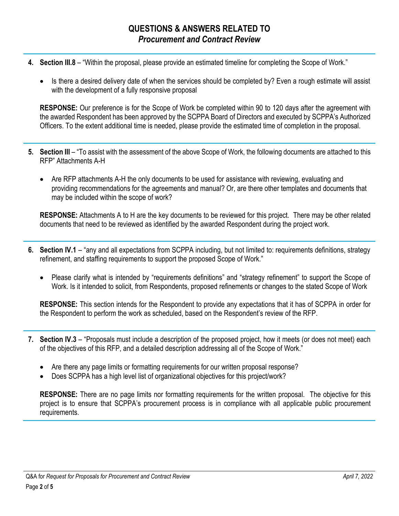- **4. Section III.8**  "Within the proposal, please provide an estimated timeline for completing the Scope of Work."
	- Is there a desired delivery date of when the services should be completed by? Even a rough estimate will assist with the development of a fully responsive proposal

**RESPONSE:** Our preference is for the Scope of Work be completed within 90 to 120 days after the agreement with the awarded Respondent has been approved by the SCPPA Board of Directors and executed by SCPPA's Authorized Officers. To the extent additional time is needed, please provide the estimated time of completion in the proposal.

- **5. Section III**  "To assist with the assessment of the above Scope of Work, the following documents are attached to this RFP" Attachments A-H
	- Are RFP attachments A-H the only documents to be used for assistance with reviewing, evaluating and providing recommendations for the agreements and manual? Or, are there other templates and documents that may be included within the scope of work?

**RESPONSE:** Attachments A to H are the key documents to be reviewed for this project. There may be other related documents that need to be reviewed as identified by the awarded Respondent during the project work.

- **6. Section IV.1**  "any and all expectations from SCPPA including, but not limited to: requirements definitions, strategy refinement, and staffing requirements to support the proposed Scope of Work."
	- Please clarify what is intended by "requirements definitions" and "strategy refinement" to support the Scope of Work. Is it intended to solicit, from Respondents, proposed refinements or changes to the stated Scope of Work

**RESPONSE:** This section intends for the Respondent to provide any expectations that it has of SCPPA in order for the Respondent to perform the work as scheduled, based on the Respondent's review of the RFP.

- **7. Section IV.3**  "Proposals must include a description of the proposed project, how it meets (or does not meet) each of the objectives of this RFP, and a detailed description addressing all of the Scope of Work."
	- Are there any page limits or formatting requirements for our written proposal response?
	- Does SCPPA has a high level list of organizational objectives for this project/work?

**RESPONSE:** There are no page limits nor formatting requirements for the written proposal. The objective for this project is to ensure that SCPPA's procurement process is in compliance with all applicable public procurement requirements.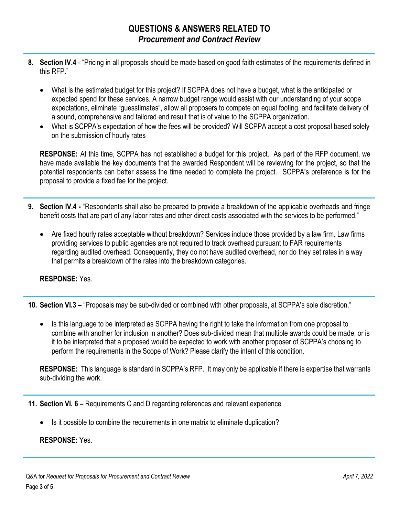- **8. Section IV.4**  "Pricing in all proposals should be made based on good faith estimates of the requirements defined in this RFP."
	- What is the estimated budget for this project? If SCPPA does not have a budget, what is the anticipated or expected spend for these services. A narrow budget range would assist with our understanding of your scope expectations, eliminate "guesstimates", allow all proposers to compete on equal footing, and facilitate delivery of a sound, comprehensive and tailored end result that is of value to the SCPPA organization.
	- What is SCPPA's expectation of how the fees will be provided? Will SCPPA accept a cost proposal based solely on the submission of hourly rates

**RESPONSE:** At this time, SCPPA has not established a budget for this project. As part of the RFP document, we have made available the key documents that the awarded Respondent will be reviewing for the project, so that the potential respondents can better assess the time needed to complete the project.SCPPA's preference is for the proposal to provide a fixed fee for the project.

- **9. Section IV.4 -** "Respondents shall also be prepared to provide a breakdown of the applicable overheads and fringe benefit costs that are part of any labor rates and other direct costs associated with the services to be performed."
	- Are fixed hourly rates acceptable without breakdown? Services include those provided by a law firm. Law firms providing services to public agencies are not required to track overhead pursuant to FAR requirements regarding audited overhead. Consequently, they do not have audited overhead, nor do they set rates in a way that permits a breakdown of the rates into the breakdown categories.

## **RESPONSE:** Yes.

**10. Section VI.3 –** "Proposals may be sub-divided or combined with other proposals, at SCPPA's sole discretion."

• Is this language to be interpreted as SCPPA having the right to take the information from one proposal to combine with another for inclusion in another? Does sub-divided mean that multiple awards could be made, or is it to be interpreted that a proposed would be expected to work with another proposer of SCPPA's choosing to perform the requirements in the Scope of Work? Please clarify the intent of this condition.

**RESPONSE:** This language is standard in SCPPA's RFP. It may only be applicable if there is expertise that warrants sub-dividing the work.

**11. Section VI. 6 –** Requirements C and D regarding references and relevant experience

Is it possible to combine the requirements in one matrix to eliminate duplication?

### **RESPONSE:** Yes.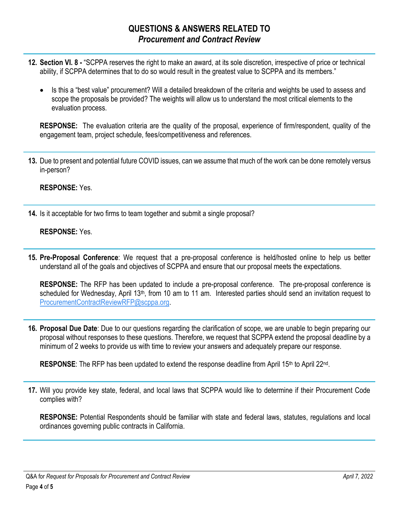# **QUESTIONS & ANSWERS RELATED TO** *Procurement and Contract Review*

- **12. Section VI. 8 -** "SCPPA reserves the right to make an award, at its sole discretion, irrespective of price or technical ability, if SCPPA determines that to do so would result in the greatest value to SCPPA and its members."
	- Is this a "best value" procurement? Will a detailed breakdown of the criteria and weights be used to assess and scope the proposals be provided? The weights will allow us to understand the most critical elements to the evaluation process.

**RESPONSE:** The evaluation criteria are the quality of the proposal, experience of firm/respondent, quality of the engagement team, project schedule, fees/competitiveness and references.

**13.** Due to present and potential future COVID issues, can we assume that much of the work can be done remotely versus in-person?

#### **RESPONSE:** Yes.

**14.** Is it acceptable for two firms to team together and submit a single proposal?

### **RESPONSE:** Yes.

**15. Pre-Proposal Conference**: We request that a pre-proposal conference is held/hosted online to help us better understand all of the goals and objectives of SCPPA and ensure that our proposal meets the expectations.

**RESPONSE:** The RFP has been updated to include a pre-proposal conference. The pre-proposal conference is scheduled for Wednesday, April 13<sup>th</sup>, from 10 am to 11 am. Interested parties should send an invitation request to [ProcurementContractReviewRFP@scppa.org.](mailto:ProcurementContractReviewRFP@scppa.org)

**16. Proposal Due Date**: Due to our questions regarding the clarification of scope, we are unable to begin preparing our proposal without responses to these questions. Therefore, we request that SCPPA extend the proposal deadline by a minimum of 2 weeks to provide us with time to review your answers and adequately prepare our response.

RESPONSE: The RFP has been updated to extend the response deadline from April 15<sup>th</sup> to April 22<sup>nd</sup>.

**17.** Will you provide key state, federal, and local laws that SCPPA would like to determine if their Procurement Code complies with?

**RESPONSE:** Potential Respondents should be familiar with state and federal laws, statutes, regulations and local ordinances governing public contracts in California.